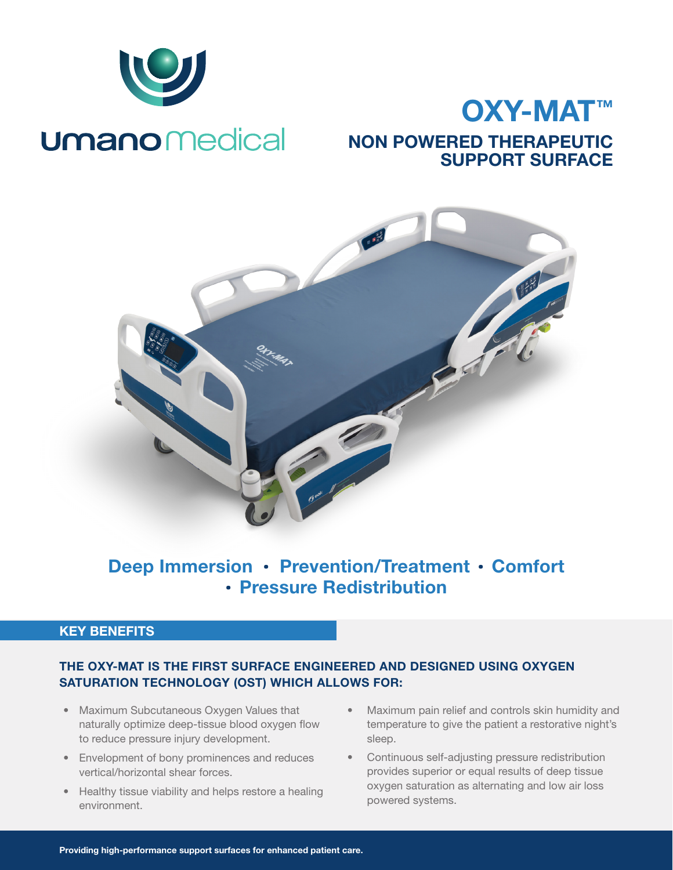

# OXY-MAT™ NON POWERED THERAPEUTIC SUPPORT SURFACE



## Deep Immersion · Prevention/Treatment · Comfort · Pressure Redistribution

## KEY BENEFITS

## THE OXY-MAT IS THE FIRST SURFACE ENGINEERED AND DESIGNED USING OXYGEN SATURATION TECHNOLOGY (OST) WHICH ALLOWS FOR:

- Maximum Subcutaneous Oxygen Values that naturally optimize deep-tissue blood oxygen flow to reduce pressure injury development.
- Envelopment of bony prominences and reduces vertical/horizontal shear forces.
- Healthy tissue viability and helps restore a healing environment.
- Maximum pain relief and controls skin humidity and temperature to give the patient a restorative night's sleep.
- Continuous self-adjusting pressure redistribution provides superior or equal results of deep tissue oxygen saturation as alternating and low air loss powered systems.